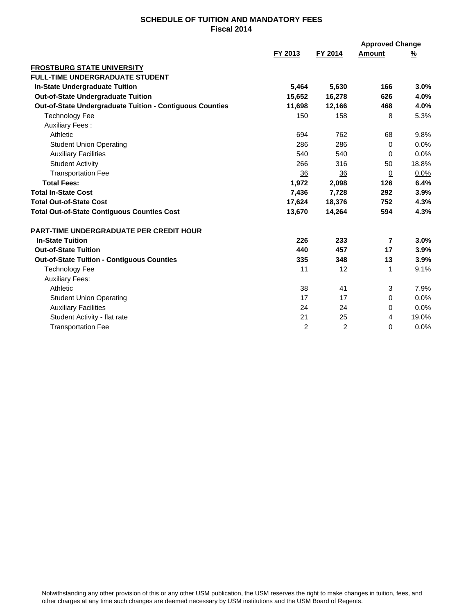## **SCHEDULE OF TUITION AND MANDATORY FEES Fiscal 2014**

|                                                          |                |                 | <b>Approved Change</b>   |          |
|----------------------------------------------------------|----------------|-----------------|--------------------------|----------|
|                                                          | FY 2013        | FY 2014         | Amount                   | <u>%</u> |
| <b>FROSTBURG STATE UNIVERSITY</b>                        |                |                 |                          |          |
| <b>FULL-TIME UNDERGRADUATE STUDENT</b>                   |                |                 |                          |          |
| <b>In-State Undergraduate Tuition</b>                    | 5,464          | 5,630           | 166                      | 3.0%     |
| <b>Out-of-State Undergraduate Tuition</b>                | 15,652         | 16,278          | 626                      | 4.0%     |
| Out-of-State Undergraduate Tuition - Contiguous Counties | 11,698         | 12,166          | 468                      | 4.0%     |
| <b>Technology Fee</b>                                    | 150            | 158             | 8                        | 5.3%     |
| <b>Auxiliary Fees:</b>                                   |                |                 |                          |          |
| Athletic                                                 | 694            | 762             | 68                       | 9.8%     |
| <b>Student Union Operating</b>                           | 286            | 286             | $\Omega$                 | 0.0%     |
| <b>Auxiliary Facilities</b>                              | 540            | 540             | $\Omega$                 | 0.0%     |
| <b>Student Activity</b>                                  | 266            | 316             | 50                       | 18.8%    |
| <b>Transportation Fee</b>                                | 36             | $\overline{36}$ | $\overline{0}$           | 0.0%     |
| <b>Total Fees:</b>                                       | 1,972          | 2,098           | 126                      | 6.4%     |
| <b>Total In-State Cost</b>                               | 7,436          | 7,728           | 292                      | 3.9%     |
| <b>Total Out-of-State Cost</b>                           | 17,624         | 18,376          | 752                      | 4.3%     |
| <b>Total Out-of-State Contiguous Counties Cost</b>       | 13,670         | 14,264          | 594                      | 4.3%     |
| <b>PART-TIME UNDERGRADUATE PER CREDIT HOUR</b>           |                |                 |                          |          |
| <b>In-State Tuition</b>                                  | 226            | 233             | $\overline{\phantom{a}}$ | 3.0%     |
| <b>Out-of-State Tuition</b>                              | 440            | 457             | 17                       | 3.9%     |
| <b>Out-of-State Tuition - Contiguous Counties</b>        | 335            | 348             | 13                       | 3.9%     |
| <b>Technology Fee</b>                                    | 11             | 12              | 1                        | 9.1%     |
| <b>Auxiliary Fees:</b>                                   |                |                 |                          |          |
| Athletic                                                 | 38             | 41              | 3                        | 7.9%     |
| <b>Student Union Operating</b>                           | 17             | 17              | 0                        | 0.0%     |
| <b>Auxiliary Facilities</b>                              | 24             | 24              | 0                        | 0.0%     |
| Student Activity - flat rate                             | 21             | 25              | 4                        | 19.0%    |
| <b>Transportation Fee</b>                                | $\overline{2}$ | $\overline{2}$  | 0                        | 0.0%     |